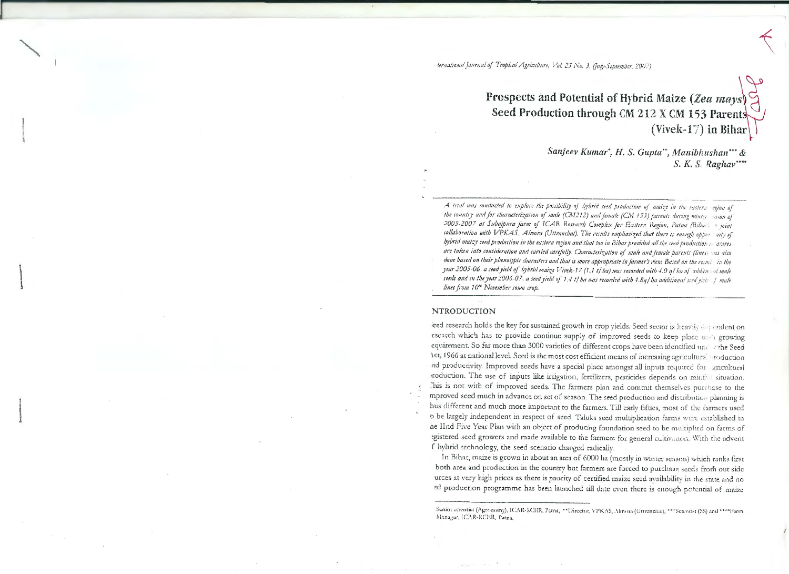# Prospects and Potential of Hybrid Maize (Zea mays) Seed Production through CM 212 X CM 153 Parents (Vivek-17) in Bihar

Sanjeev Kumar', H. S. Gupta", Manibhushan" & S. K. S. Raghav\*\*\*\*

A trial was conducted to explore the possibility of hybrid seed production of maize in the eastern egion of the country and for characterization of male (CM212) and female (CM 153) parents during winter ason of 2005-2007 at Sabajpura farm of ICAR Research Complex for Eastern Region, Patna (Bibar) a joint collaboration with VPKAS, Almora (Uttranchal). The results emplosized that there is enough opper uity of hybrid maize seed production in the eastern region and that too in Bihar provided all the seed production to asures are taken into consideration and carried carefully. Characterization of male and female parents (lines) was also done based on their phenotypic characters and that is more appropriate in farmer's view. Based on the result in the year 2005-06, a seed yield of hybrid maize Vivek-17 (1.1 t/ ha) was recorded with 4.0 q/ ha of additional male seeds and in the year 2006-07, a seed yield of 1.4 t/ ha was recorded with 4.8q/ ha additional seed yiels f male lines from 10<sup>th</sup> November sown crop.

## **NTRODUCTION**

leed research holds the key for sustained growth in crop yields. Seed sector is heavily decembent on esearch which has to provide continue supply of improved seeds to keep place with growing equirement. So far more than 3000 varieties of different crops have been identified und at the Seed Act, 1966 at national level. Seed is the most cost efficient means of increasing agricultural roduction nd productivity. Improved seeds have a special place amongst all inputs required for gricultural production. The use of inputs like irrigation, fertilizers, pesticides depends on rainfall situation. This is not with of improved seeds. The farmers plan and commit themselves purchase to the mproved seed much in advance on set of season. The seed production and distribution planning is hus different and much more important to the farmers. Till early fifties, most of the farmers used o be largely independent in respect of seed. Taluka seed multiplication farms were established in he IInd Five Year Plan with an object of producing foundation seed to be multiplied on farms of egistered seed growers and made available to the farmers for general cultivation. With the advent f hybrid technology, the seed scenario changed radically.

In Bihar, maize is grown in about an area of 6000 ha (mostly in winter season) which ranks first both area and production in the country but farmers are forced to purchase seeds from out side urces at very high prices as there is paucity of certified maize seed availability in the state and no ed production programme has been launched till date even there is enough potential of maize

Senior scientist (Agronomy), ICAR-RCER, Patna, \*\*Director, VPKAS, Almora (Uttranchal), \*\*\*Scientist (SS) and \*\*\*\*Farm Manager, ICAR-RCER, Patna.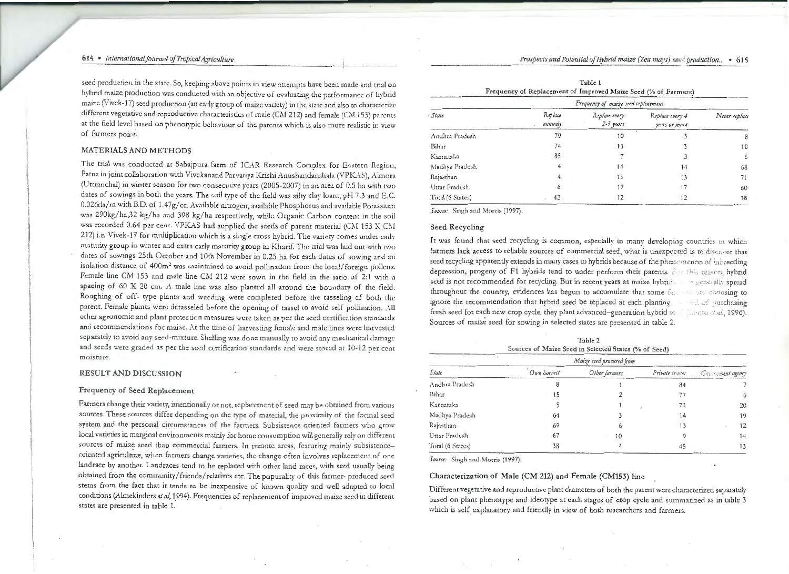seed production in the state. So, keeping above points in view attempts have been made and trial on hybrid maize production was conducted with an objective of evaluating the performance of hybrid maize (Vivek-17) seed production (an early group of maize variety) in the state and also to characterize different vegetative and reproductive characteristics of male (CM 212) and female (CM 153) parents at the field level based on phenotypic behaviour of the parents which is also more realistic in view of farmers point.

## MATERIALS AND METHODS

The trial was conducted at Sabajpura farm of ICAR Research Complex for Eastern Region, Patna in joint collaboration with Vivekanand Parvatiya Krishi Anushandanshala (VPKAS), Almora (Uttranchal) in winter season for two consecutive years (2005-2007) in an area of 0.5 ha with two dates of sowings in both the years. The soil type of the field was silty clay loam, pH 7 .3 and E.C. 0.026ds/m with B.D. of 1.47g/cc. Available nitrogen, available Phosphorus and available Potassium was 290kg/ha,32 kg/ha and 398 kg/ha respectively, while Organic Carbon content in the soil was recorded 0.64 per cent. VPKAS had supplied the seeds of parent material (CM 153 X CM 212) i.e. Vivek-17 for multiplication which is a single cross hybrid. The variety comes under earlv maturity group in winter and extra early maturity group in Kharif. The trial was laid out with two dates of sowings 25th October and 10th November in 0.25 ha for each dates of sowing and an isolation distance of  $400m^2$  was maintained to avoid pollination from the local/foreign pollons. Female line CM 153 and male Line CM 212 were sown in the field in the ratio of 2: 1 with a spacing of  $60 \times 20$  cm. A male line was also planted all around the boundary of the field. Roughing of off- type plants and weeding were completed before the tasseling of both the parent. Female plants were detasseled before the opening of tassel to avoid self pollination. All o ther agronomic and plant protection measures were taken as per the seed certification standards and recommendations for maize. At the time of harvesting female and male lines were harvested separately to avoid any seed-mixture. Shelling was done manually to avoid any mechanical damage and seeds were graded as per the seed certification standards and were stored at 10-12 per cent moisture.

### RESULT AND DISCUSSION

## Frequency of Seed Replacement

Farmers change their variety, intentionally or not, replacement of seed may be obtained from various sources. These sources differ depending on the type of material, the proximity of the formal seed system and the personal circumstances of the farmers. Subsistence oriented farmers who grow local varieties in marginal environments mainly for home consumption will generally rely on different sources of maize seed than commercial farmers. In remote areas, featuring mainly subsistenceoriented agriculture, when farmers change varieties, the change often involves replacement of one landrace by another. Landraces tend to be replaced with other land races, with seed usually being obtained from the community/ friends/ relatives etc. The popurality of this farmer- produced seed stems from the fact that it tends to be inexpensive of known quality and well adapted to local conditions (Almekinders et al, 1994). Frequencies of replacement of improved maize seed in different states are presented in table 1.

Table 1 Frequency of Replacement of Improved Maize Seed (%of Farmers)

|                  |                    | Frequency of maize seed replacement |                                  |               |
|------------------|--------------------|-------------------------------------|----------------------------------|---------------|
| · State          | Replace<br>annualy | Replace every<br>$2-3$ years        | Replace every 4<br>years or more | Never replace |
| Andhra Pradesh   | 79                 | 10                                  |                                  | 8             |
| Bihar            | 74                 | 13                                  |                                  | 10            |
| Karnataka        | 85                 |                                     |                                  | 6             |
| Madhya Pradesh   | 4                  | 14                                  | 14                               | 68            |
| Rajasthan        |                    | 13                                  | 13                               | 71            |
| Uttar Pradesh    | 6                  | 17                                  | 17                               | 60            |
| Total (6 States) | 42                 | 12                                  | 12                               | 38            |

Source: Singh and Morris (1997).

## Seed Recycling

It was found that seed recycling is common, especially in many developing countries in which farmers lack access to reliable sources of commercial seed, what is unexpected is to discover that seed recycling apparently extends in many cases to hybrids because of the phenomenon of inbreeding depression, progeny of F1 hybrids tend to under perform their parents. For this reason, hybrid seed is not recommended for recycling. But in recent years as maize hybrids are generally spread throughout the country, evidences has begun to accumulate that some ;c::: *Y·* .:hoosing to ignore the recommendation that hybrid seed be replaced at each planting in an individual surchasing fresh seed for each new crop cycle, they plant advanced-generation hybrid set the state, 1996). Sources of maize seed for sowing in selected states are presented in table 2.

Table 2 Sources of Maize Seed in Selected States (% of Seed)

|                  |             | Maize seed procured from |                |                   |
|------------------|-------------|--------------------------|----------------|-------------------|
| State            | Own harvest | Other farmers            | Private trader | Government agency |
| Andhra Pradesh   |             |                          | 84             |                   |
| Bihar            | 15          |                          |                |                   |
| Karnataka        |             |                          | 73             | 20                |
| Madhya Pradesh   | 64          |                          | 14             | 19                |
| Rajasthan        | 69          |                          | 13             |                   |
| Uttar Pradesh    | 67          | 10                       |                |                   |
| Total (6 States) | 38          |                          | 45             |                   |

Source: Singh and Morris (1997).

# Characterization of Male (CM 212) and Female (CM153) line

Different vegetative and reproductive plant characters of both the parent were characterized separately based on plant phenotype and ideorype at each stages of crop cycle and summarized as in table 3 which is self explanatory and friendly in view of both researchers and farmers.